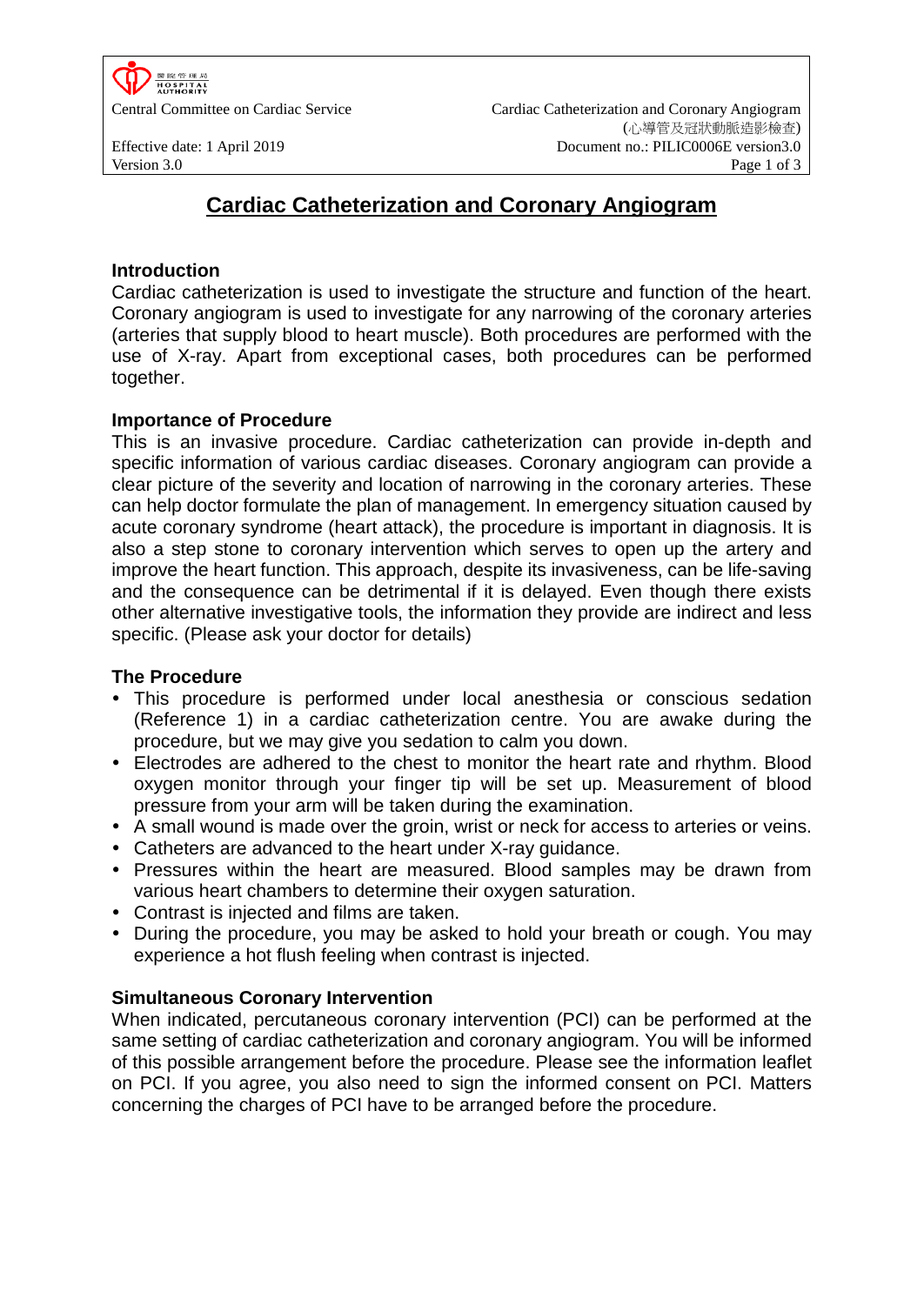

Central Committee on Cardiac Service Cardiac Catheterization and Coronary Angiogram (心導管及冠狀動脈造影檢查) Effective date: 1 April 2019 Document no.: PILIC0006E version3.0 Version 3.0 **Page 1 of 3** 

# **Cardiac Catheterization and Coronary Angiogram**

### **Introduction**

Cardiac catheterization is used to investigate the structure and function of the heart. Coronary angiogram is used to investigate for any narrowing of the coronary arteries (arteries that supply blood to heart muscle). Both procedures are performed with the use of X-ray. Apart from exceptional cases, both procedures can be performed together.

### **Importance of Procedure**

This is an invasive procedure. Cardiac catheterization can provide in-depth and specific information of various cardiac diseases. Coronary angiogram can provide a clear picture of the severity and location of narrowing in the coronary arteries. These can help doctor formulate the plan of management. In emergency situation caused by acute coronary syndrome (heart attack), the procedure is important in diagnosis. It is also a step stone to coronary intervention which serves to open up the artery and improve the heart function. This approach, despite its invasiveness, can be life-saving and the consequence can be detrimental if it is delayed. Even though there exists other alternative investigative tools, the information they provide are indirect and less specific. (Please ask your doctor for details)

### **The Procedure**

- This procedure is performed under local anesthesia or conscious sedation (Reference 1) in a cardiac catheterization centre. You are awake during the procedure, but we may give you sedation to calm you down.
- Electrodes are adhered to the chest to monitor the heart rate and rhythm. Blood oxygen monitor through your finger tip will be set up. Measurement of blood pressure from your arm will be taken during the examination.
- A small wound is made over the groin, wrist or neck for access to arteries or veins.
- Catheters are advanced to the heart under X-ray guidance.
- Pressures within the heart are measured. Blood samples may be drawn from various heart chambers to determine their oxygen saturation.
- Contrast is injected and films are taken.
- During the procedure, you may be asked to hold your breath or cough. You may experience a hot flush feeling when contrast is injected.

### **Simultaneous Coronary Intervention**

When indicated, percutaneous coronary intervention (PCI) can be performed at the same setting of cardiac catheterization and coronary angiogram. You will be informed of this possible arrangement before the procedure. Please see the information leaflet on PCI. If you agree, you also need to sign the informed consent on PCI. Matters concerning the charges of PCI have to be arranged before the procedure.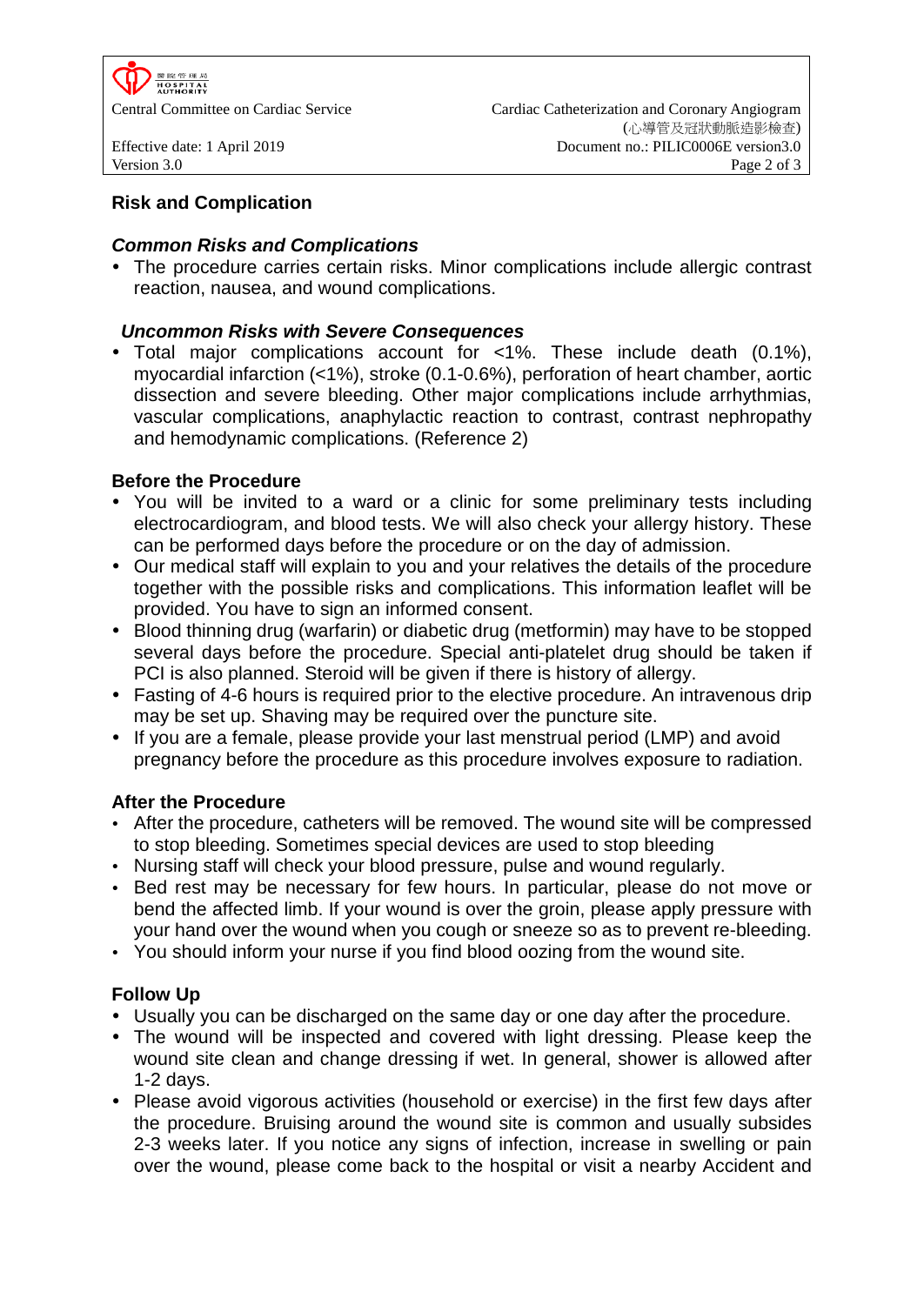

## **Risk and Complication**

### *Common Risks and Complications*

• The procedure carries certain risks. Minor complications include allergic contrast reaction, nausea, and wound complications.

## *Uncommon Risks with Severe Consequences*

 Total major complications account for <1%. These include death (0.1%), myocardial infarction (<1%), stroke (0.1-0.6%), perforation of heart chamber, aortic dissection and severe bleeding. Other major complications include arrhythmias, vascular complications, anaphylactic reaction to contrast, contrast nephropathy and hemodynamic complications. (Reference 2)

## **Before the Procedure**

- You will be invited to a ward or a clinic for some preliminary tests including electrocardiogram, and blood tests. We will also check your allergy history. These can be performed days before the procedure or on the day of admission.
- Our medical staff will explain to you and your relatives the details of the procedure together with the possible risks and complications. This information leaflet will be provided. You have to sign an informed consent.
- Blood thinning drug (warfarin) or diabetic drug (metformin) may have to be stopped several days before the procedure. Special anti-platelet drug should be taken if PCI is also planned. Steroid will be given if there is history of allergy.
- Fasting of 4-6 hours is required prior to the elective procedure. An intravenous drip may be set up. Shaving may be required over the puncture site.
- If you are a female, please provide your last menstrual period (LMP) and avoid pregnancy before the procedure as this procedure involves exposure to radiation.

### **After the Procedure**

- After the procedure, catheters will be removed. The wound site will be compressed to stop bleeding. Sometimes special devices are used to stop bleeding
- Nursing staff will check your blood pressure, pulse and wound regularly.
- Bed rest may be necessary for few hours. In particular, please do not move or bend the affected limb. If your wound is over the groin, please apply pressure with your hand over the wound when you cough or sneeze so as to prevent re-bleeding.
- You should inform your nurse if you find blood oozing from the wound site.

## **Follow Up**

- Usually you can be discharged on the same day or one day after the procedure.
- The wound will be inspected and covered with light dressing. Please keep the wound site clean and change dressing if wet. In general, shower is allowed after 1-2 days.
- Please avoid vigorous activities (household or exercise) in the first few days after the procedure. Bruising around the wound site is common and usually subsides 2-3 weeks later. If you notice any signs of infection, increase in swelling or pain over the wound, please come back to the hospital or visit a nearby Accident and